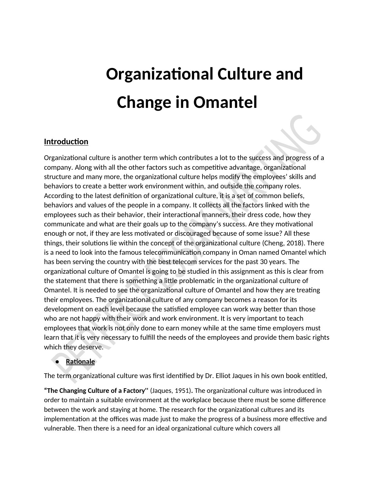# **Organizational Culture and Change in Omantel**

## **Introduction**

Organizational culture is another term which contributes a lot to the success and progress of a company. Along with all the other factors such as competitive advantage, organizational structure and many more, the organizational culture helps modify the employees' skills and behaviors to create a better work environment within, and outside the company roles. According to the latest definition of organizational culture, it is a set of common beliefs, behaviors and values of the people in a company. It collects all the factors linked with the employees such as their behavior, their interactional manners, their dress code, how they communicate and what are their goals up to the company's success. Are they motivational enough or not, if they are less motivated or discouraged because of some issue? All these things, their solutions lie within the concept of the organizational culture (Cheng, 2018). There is a need to look into the famous telecommunication company in Oman named Omantel which has been serving the country with the best telecom services for the past 30 years. The organizational culture of Omantel is going to be studied in this assignment as this is clear from the statement that there is something a little problematic in the organizational culture of Omantel. It is needed to see the organizational culture of Omantel and how they are treating their employees. The organizational culture of any company becomes a reason for its development on each level because the satisfied employee can work way better than those who are not happy with their work and work environment. It is very important to teach employees that work is not only done to earn money while at the same time employers must learn that it is very necessary to fulfill the needs of the employees and provide them basic rights which they deserve.

## **● Rationale**

The term organizational culture was first identified by Dr. Elliot Jaques in his own book entitled,

**"The Changing Culture of a Factory''** (Jaques, 1951)**.** The organizational culture was introduced in order to maintain a suitable environment at the workplace because there must be some difference between the work and staying at home. The research for the organizational cultures and its implementation at the offices was made just to make the progress of a business more effective and vulnerable. Then there is a need for an ideal organizational culture which covers all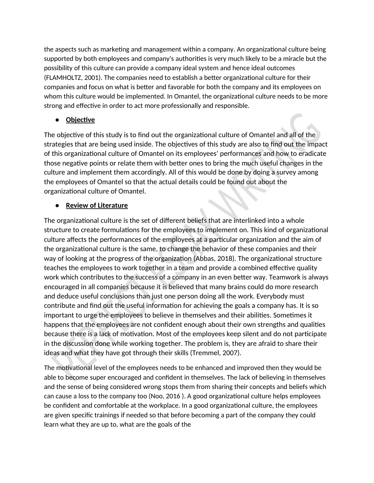the aspects such as marketing and management within a company. An organizational culture being supported by both employees and company's authorities is very much likely to be a miracle but the possibility of this culture can provide a company ideal system and hence ideal outcomes (FLAMHOLTZ, 2001). The companies need to establish a better organizational culture for their companies and focus on what is better and favorable for both the company and its employees on whom this culture would be implemented. In Omantel, the organizational culture needs to be more strong and effective in order to act more professionally and responsible.

## **Objective**

The objective of this study is to find out the organizational culture of Omantel and all of the strategies that are being used inside. The objectives of this study are also to find out the impact of this organizational culture of Omantel on its employees' performances and how to eradicate those negative points or relate them with better ones to bring the much useful changes in the culture and implement them accordingly. All of this would be done by doing a survey among the employees of Omantel so that the actual details could be found out about the organizational culture of Omantel.

## **● Review of Literature**

The organizational culture is the set of different beliefs that are interlinked into a whole structure to create formulations for the employees to implement on. This kind of organizational culture affects the performances of the employees at a particular organization and the aim of the organizational culture is the same, to change the behavior of these companies and their way of looking at the progress of the organization (Abbas, 2018). The organizational structure teaches the employees to work together in a team and provide a combined effective quality work which contributes to the success of a company in an even better way. Teamwork is always encouraged in all companies because it is believed that many brains could do more research and deduce useful conclusions than just one person doing all the work. Everybody must contribute and find out the useful information for achieving the goals a company has. It is so important to urge the employees to believe in themselves and their abilities. Sometimes it happens that the employees are not confident enough about their own strengths and qualities because there is a lack of motivation. Most of the employees keep silent and do not participate in the discussion done while working together. The problem is, they are afraid to share their ideas and what they have got through their skills (Tremmel, 2007).

The motivational level of the employees needs to be enhanced and improved then they would be able to become super encouraged and confident in themselves. The lack of believing in themselves and the sense of being considered wrong stops them from sharing their concepts and beliefs which can cause a loss to the company too (Noo, 2016 ). A good organizational culture helps employees be confident and comfortable at the workplace. In a good organizational culture, the employees are given specific trainings if needed so that before becoming a part of the company they could learn what they are up to, what are the goals of the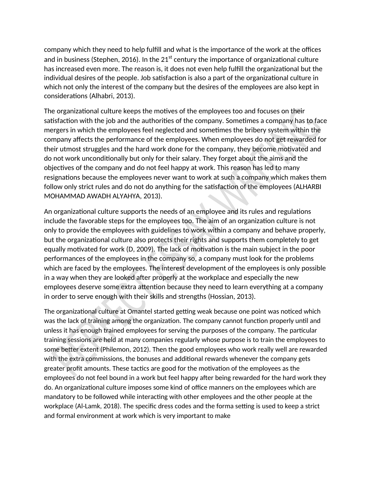company which they need to help fulfill and what is the importance of the work at the offices and in business (Stephen, 2016). In the  $21<sup>st</sup>$  century the importance of organizational culture has increased even more. The reason is, it does not even help fulfill the organizational but the individual desires of the people. Job satisfaction is also a part of the organizational culture in which not only the interest of the company but the desires of the employees are also kept in considerations (Alhabri, 2013).

The organizational culture keeps the motives of the employees too and focuses on their satisfaction with the job and the authorities of the company. Sometimes a company has to face mergers in which the employees feel neglected and sometimes the bribery system within the company affects the performance of the employees. When employees do not get rewarded for their utmost struggles and the hard work done for the company, they become motivated and do not work unconditionally but only for their salary. They forget about the aims and the objectives of the company and do not feel happy at work. This reason has led to many resignations because the employees never want to work at such a company which makes them follow only strict rules and do not do anything for the satisfaction of the employees (ALHARBI MOHAMMAD AWADH ALYAHYA, 2013).

An organizational culture supports the needs of an employee and its rules and regulations include the favorable steps for the employees too. The aim of an organization culture is not only to provide the employees with guidelines to work within a company and behave properly, but the organizational culture also protects their rights and supports them completely to get equally motivated for work (D, 2009). The lack of motivation is the main subject in the poor performances of the employees in the company so, a company must look for the problems which are faced by the employees. The interest development of the employees is only possible in a way when they are looked after properly at the workplace and especially the new employees deserve some extra attention because they need to learn everything at a company in order to serve enough with their skills and strengths (Hossian, 2013).

The organizational culture at Omantel started getting weak because one point was noticed which was the lack of training among the organization. The company cannot function properly until and unless it has enough trained employees for serving the purposes of the company. The particular training sessions are held at many companies regularly whose purpose is to train the employees to some better extent (Philemon, 2012). Then the good employees who work really well are rewarded with the extra commissions, the bonuses and additional rewards whenever the company gets greater profit amounts. These tactics are good for the motivation of the employees as the employees do not feel bound in a work but feel happy after being rewarded for the hard work they do. An organizational culture imposes some kind of office manners on the employees which are mandatory to be followed while interacting with other employees and the other people at the workplace (Al-Lamk, 2018). The specific dress codes and the forma setting is used to keep a strict and formal environment at work which is very important to make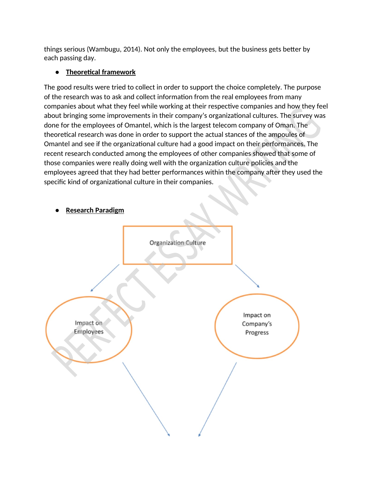things serious (Wambugu, 2014). Not only the employees, but the business gets better by each passing day.

## **● Theoretical framework**

The good results were tried to collect in order to support the choice completely. The purpose of the research was to ask and collect information from the real employees from many companies about what they feel while working at their respective companies and how they feel about bringing some improvements in their company's organizational cultures. The survey was done for the employees of Omantel, which is the largest telecom company of Oman. The theoretical research was done in order to support the actual stances of the ampoules of Omantel and see if the organizational culture had a good impact on their performances. The recent research conducted among the employees of other companies showed that some of those companies were really doing well with the organization culture policies and the employees agreed that they had better performances within the company after they used the specific kind of organizational culture in their companies.

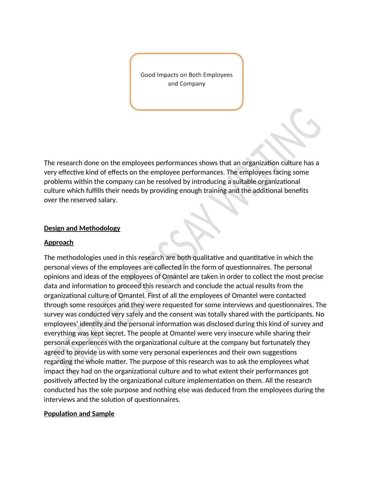Good Impacts on Both Employees and Company

The research done on the employees performances shows that an organization culture has a very effective kind of effects on the employee performances. The employees facing some problems within the company can be resolved by introducing a suitable organizational culture which fulfills their needs by providing enough training and the additional benefits over the reserved salary.

#### **Design and Methodology**

#### **Approach**

The methodologies used in this research are both qualitative and quantitative in which the personal views of the employees are collected in the form of questionnaires. The personal opinions and ideas of the employees of Omantel are taken in order to collect the most precise data and information to proceed this research and conclude the actual results from the organizational culture of Omantel. First of all the employees of Omantel were contacted through some resources and they were requested for some interviews and questionnaires. The survey was conducted very safely and the consent was totally shared with the participants. No employees' identity and the personal information was disclosed during this kind of survey and everything was kept secret. The people at Omantel were very insecure while sharing their personal experiences with the organizational culture at the company but fortunately they agreed to provide us with some very personal experiences and their own suggestions regarding the whole matter. The purpose of this research was to ask the employees what impact they had on the organizational culture and to what extent their performances got positively affected by the organizational culture implementation on them. All the research conducted has the sole purpose and nothing else was deduced from the employees during the interviews and the solution of questionnaires.

#### **Population and Sample**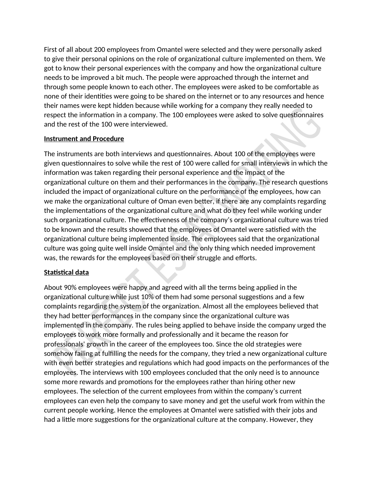First of all about 200 employees from Omantel were selected and they were personally asked to give their personal opinions on the role of organizational culture implemented on them. We got to know their personal experiences with the company and how the organizational culture needs to be improved a bit much. The people were approached through the internet and through some people known to each other. The employees were asked to be comfortable as none of their identities were going to be shared on the internet or to any resources and hence their names were kept hidden because while working for a company they really needed to respect the information in a company. The 100 employees were asked to solve questionnaires and the rest of the 100 were interviewed.

## **Instrument and Procedure**

The instruments are both interviews and questionnaires. About 100 of the employees were given questionnaires to solve while the rest of 100 were called for small interviews in which the information was taken regarding their personal experience and the impact of the organizational culture on them and their performances in the company. The research questions included the impact of organizational culture on the performance of the employees, how can we make the organizational culture of Oman even better, if there are any complaints regarding the implementations of the organizational culture and what do they feel while working under such organizational culture. The effectiveness of the company's organizational culture was tried to be known and the results showed that the employees of Omantel were satisfied with the organizational culture being implemented inside. The employees said that the organizational culture was going quite well inside Omantel and the only thing which needed improvement was, the rewards for the employees based on their struggle and efforts.

## **Statistical data**

About 90% employees were happy and agreed with all the terms being applied in the organizational culture while just 10% of them had some personal suggestions and a few complaints regarding the system of the organization. Almost all the employees believed that they had better performances in the company since the organizational culture was implemented in the company. The rules being applied to behave inside the company urged the employees to work more formally and professionally and it became the reason for professionals' growth in the career of the employees too. Since the old strategies were somehow failing at fulfilling the needs for the company, they tried a new organizational culture with even better strategies and regulations which had good impacts on the performances of the employees. The interviews with 100 employees concluded that the only need is to announce some more rewards and promotions for the employees rather than hiring other new employees. The selection of the current employees from within the company's current employees can even help the company to save money and get the useful work from within the current people working. Hence the employees at Omantel were satisfied with their jobs and had a little more suggestions for the organizational culture at the company. However, they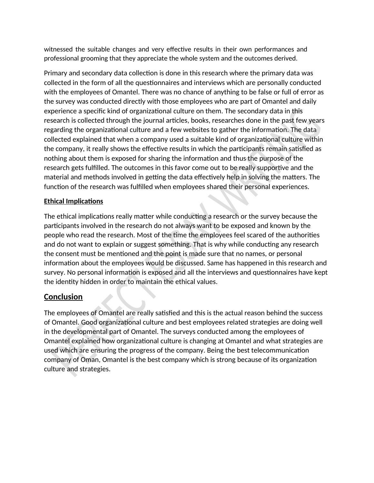witnessed the suitable changes and very effective results in their own performances and professional grooming that they appreciate the whole system and the outcomes derived.

Primary and secondary data collection is done in this research where the primary data was collected in the form of all the questionnaires and interviews which are personally conducted with the employees of Omantel. There was no chance of anything to be false or full of error as the survey was conducted directly with those employees who are part of Omantel and daily experience a specific kind of organizational culture on them. The secondary data in this research is collected through the journal articles, books, researches done in the past few years regarding the organizational culture and a few websites to gather the information. The data collected explained that when a company used a suitable kind of organizational culture within the company, it really shows the effective results in which the participants remain satisfied as nothing about them is exposed for sharing the information and thus the purpose of the research gets fulfilled. The outcomes in this favor come out to be really supportive and the material and methods involved in getting the data effectively help in solving the matters. The function of the research was fulfilled when employees shared their personal experiences.

#### **Ethical Implications**

The ethical implications really matter while conducting a research or the survey because the participants involved in the research do not always want to be exposed and known by the people who read the research. Most of the time the employees feel scared of the authorities and do not want to explain or suggest something. That is why while conducting any research the consent must be mentioned and the point is made sure that no names, or personal information about the employees would be discussed. Same has happened in this research and survey. No personal information is exposed and all the interviews and questionnaires have kept the identity hidden in order to maintain the ethical values.

## **Conclusion**

The employees of Omantel are really satisfied and this is the actual reason behind the success of Omantel. Good organizational culture and best employees related strategies are doing well in the developmental part of Omantel. The surveys conducted among the employees of Omantel explained how organizational culture is changing at Omantel and what strategies are used which are ensuring the progress of the company. Being the best telecommunication company of Oman, Omantel is the best company which is strong because of its organization culture and strategies.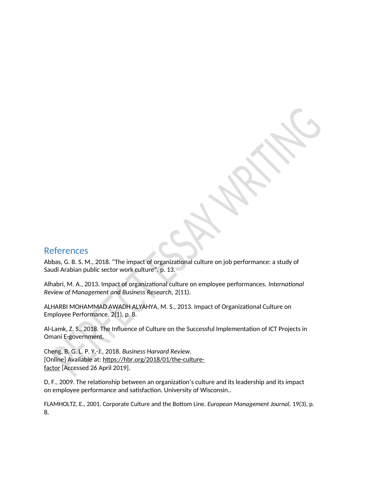## References

Abbas, G. B. S. M., 2018. "The impact of organizational culture on job performance: a study of Saudi Arabian public sector work culture". p. 13.

Alhabri, M. A., 2013. Impact of organizational culture on employee performances. *International Review of Management and Business Research,* 2(11).

ALHARBI MOHAMMAD AWADH ALYAHYA, M. S., 2013. Impact of Organizational Culture on Employee Performance. 2(1), p. 8.

Al-Lamk, Z. S., 2018. The Influence of Culture on the Successful Implementation of ICT Projects in Omani E-government.

Cheng, B. G. L. P. Y.-J., 2018. *Business Harvard Review.* [Online] Available at: https://hbr.org/2018/01/the-culturefactor [Accessed 26 April 2019].

D, F., 2009. The relationship between an organization's culture and its leadership and its impact on employee performance and satisfaction. University of Wisconsin..

FLAMHOLTZ, E., 2001. Corporate Culture and the Bottom Line. *European Management Journal,* 19(3), p. 8.